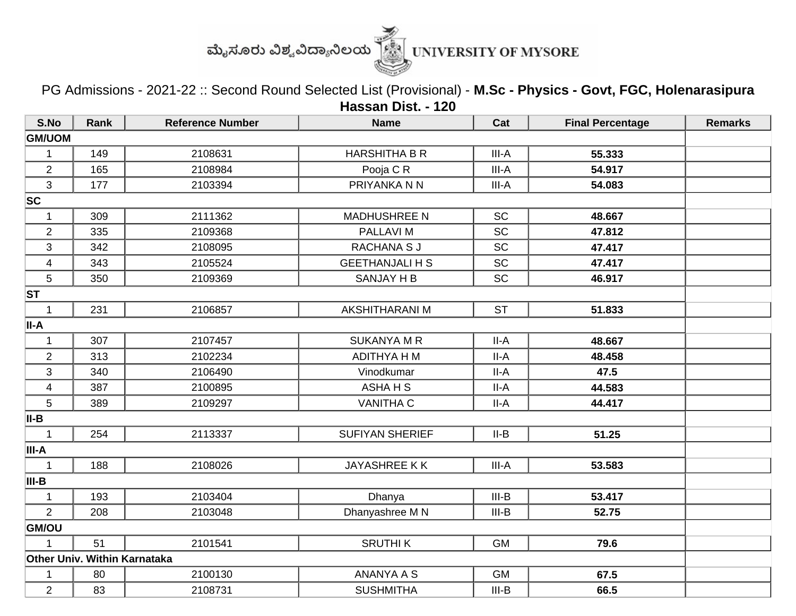

PG Admissions - 2021-22 :: Second Round Selected List (Provisional) - **M.Sc - Physics - Govt, FGC, Holenarasipura Hassan Dist. - 120**

| S.No                    | Rank                         | <b>Reference Number</b> | <b>Name</b>            | Cat       | <b>Final Percentage</b> | <b>Remarks</b> |
|-------------------------|------------------------------|-------------------------|------------------------|-----------|-------------------------|----------------|
| <b>GM/UOM</b>           |                              |                         |                        |           |                         |                |
| 1                       | 149                          | 2108631                 | <b>HARSHITHA B R</b>   | III-A     | 55.333                  |                |
| $\overline{2}$          | 165                          | 2108984                 | Pooja C R              | III-A     | 54.917                  |                |
| 3                       | 177                          | 2103394                 | PRIYANKA N N           | III-A     | 54.083                  |                |
| SC                      |                              |                         |                        |           |                         |                |
| $\mathbf{1}$            | 309                          | 2111362                 | <b>MADHUSHREE N</b>    | <b>SC</b> | 48.667                  |                |
| $\overline{c}$          | 335                          | 2109368                 | <b>PALLAVIM</b>        | <b>SC</b> | 47.812                  |                |
| 3                       | 342                          | 2108095                 | <b>RACHANA SJ</b>      | <b>SC</b> | 47.417                  |                |
| $\overline{\mathbf{4}}$ | 343                          | 2105524                 | <b>GEETHANJALI H S</b> | SC        | 47.417                  |                |
| 5                       | 350                          | 2109369                 | <b>SANJAY H B</b>      | <b>SC</b> | 46.917                  |                |
| <b>ST</b>               |                              |                         |                        |           |                         |                |
| 1                       | 231                          | 2106857                 | <b>AKSHITHARANI M</b>  | <b>ST</b> | 51.833                  |                |
| II-A                    |                              |                         |                        |           |                         |                |
| $\mathbf{1}$            | 307                          | 2107457                 | <b>SUKANYA M R</b>     | $II-A$    | 48.667                  |                |
| $\overline{2}$          | 313                          | 2102234                 | <b>ADITHYA H M</b>     | $II-A$    | 48.458                  |                |
| 3                       | 340                          | 2106490                 | Vinodkumar             | $II-A$    | 47.5                    |                |
| $\overline{\mathbf{4}}$ | 387                          | 2100895                 | <b>ASHAHS</b>          | II-A      | 44.583                  |                |
| 5                       | 389                          | 2109297                 | <b>VANITHA C</b>       | $II-A$    | 44.417                  |                |
| II-B                    |                              |                         |                        |           |                         |                |
| $\mathbf{1}$            | 254                          | 2113337                 | <b>SUFIYAN SHERIEF</b> | $II-B$    | 51.25                   |                |
| III-A                   |                              |                         |                        |           |                         |                |
| $\mathbf 1$             | 188                          | 2108026                 | JAYASHREE KK           | III-A     | 53.583                  |                |
| III-B                   |                              |                         |                        |           |                         |                |
| 1                       | 193                          | 2103404                 | Dhanya                 | $III-B$   | 53.417                  |                |
| $\overline{2}$          | 208                          | 2103048                 | Dhanyashree M N        | $III-B$   | 52.75                   |                |
| GM/OU                   |                              |                         |                        |           |                         |                |
| 1                       | 51                           | 2101541                 | <b>SRUTHIK</b>         | <b>GM</b> | 79.6                    |                |
|                         | Other Univ. Within Karnataka |                         |                        |           |                         |                |
| 1                       | 80                           | 2100130                 | <b>ANANYA A S</b>      | <b>GM</b> | 67.5                    |                |
| $\overline{c}$          | 83                           | 2108731                 | <b>SUSHMITHA</b>       | $III-B$   | 66.5                    |                |